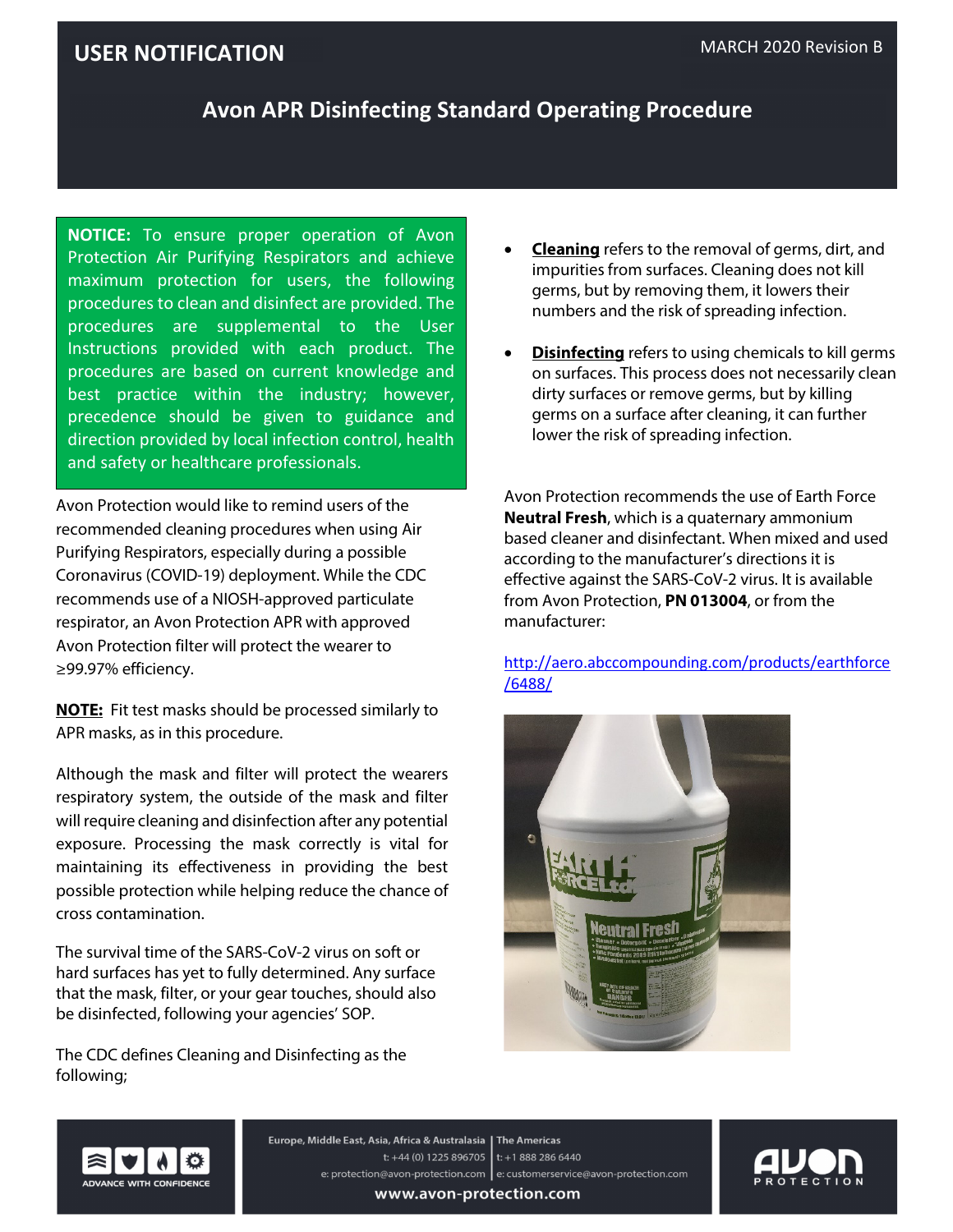# **USER NOTIFICATION** MARCH 2020 Revision B

### **Avon APR Disinfecting Standard Operating Procedure**

**NOTICE:** To ensure proper operation of Avon Protection Air Purifying Respirators and achieve maximum protection for users, the following procedures to clean and disinfect are provided. The procedures are supplemental to the User Instructions provided with each product. The procedures are based on current knowledge and best practice within the industry; however, precedence should be given to guidance and direction provided by local infection control, health and safety or healthcare professionals.

Avon Protection would like to remind users of the recommended cleaning procedures when using Air Purifying Respirators, especially during a possible Coronavirus (COVID-19) deployment. While the CDC recommends use of a NIOSH-approved particulate respirator, an Avon Protection APR with approved Avon Protection filter will protect the wearer to ≥99.97% efficiency.

**NOTE:** Fit test masks should be processed similarly to APR masks, as in this procedure.

Although the mask and filter will protect the wearers respiratory system, the outside of the mask and filter will require cleaning and disinfection after any potential exposure. Processing the mask correctly is vital for maintaining its effectiveness in providing the best possible protection while helping reduce the chance of cross contamination.

The survival time of the SARS-CoV-2 virus on soft or hard surfaces has yet to fully determined. Any surface that the mask, filter, or your gear touches, should also be disinfected, following your agencies' SOP.

The CDC defines Cleaning and Disinfecting as the following;

- **Cleaning** refers to the removal of germs, dirt, and impurities from surfaces. Cleaning does not kill germs, but by removing them, it lowers their numbers and the risk of spreading infection.
- **Disinfecting** refers to using chemicals to kill germs on surfaces. This process does not necessarily clean dirty surfaces or remove germs, but by killing germs on a surface after cleaning, it can further lower the risk of spreading infection.

Avon Protection recommends the use of Earth Force **Neutral Fresh**, which is a quaternary ammonium based cleaner and disinfectant. When mixed and used according to the manufacturer's directions it is effective against the SARS-CoV-2 virus. It is available from Avon Protection, **PN 013004**, or from the manufacturer:

[http://aero.abccompounding.com/products/earthforce](http://aero.abccompounding.com/products/earthforce/6488/) [/6488/](http://aero.abccompounding.com/products/earthforce/6488/)





Europe, Middle East, Asia, Africa & Australasia | The Americas t: +44 (0) 1225 896705 | t: +1 888 286 6440 e: protection@avon-protection.com | e: customerservice@avon-protection.com



www.avon-protection.com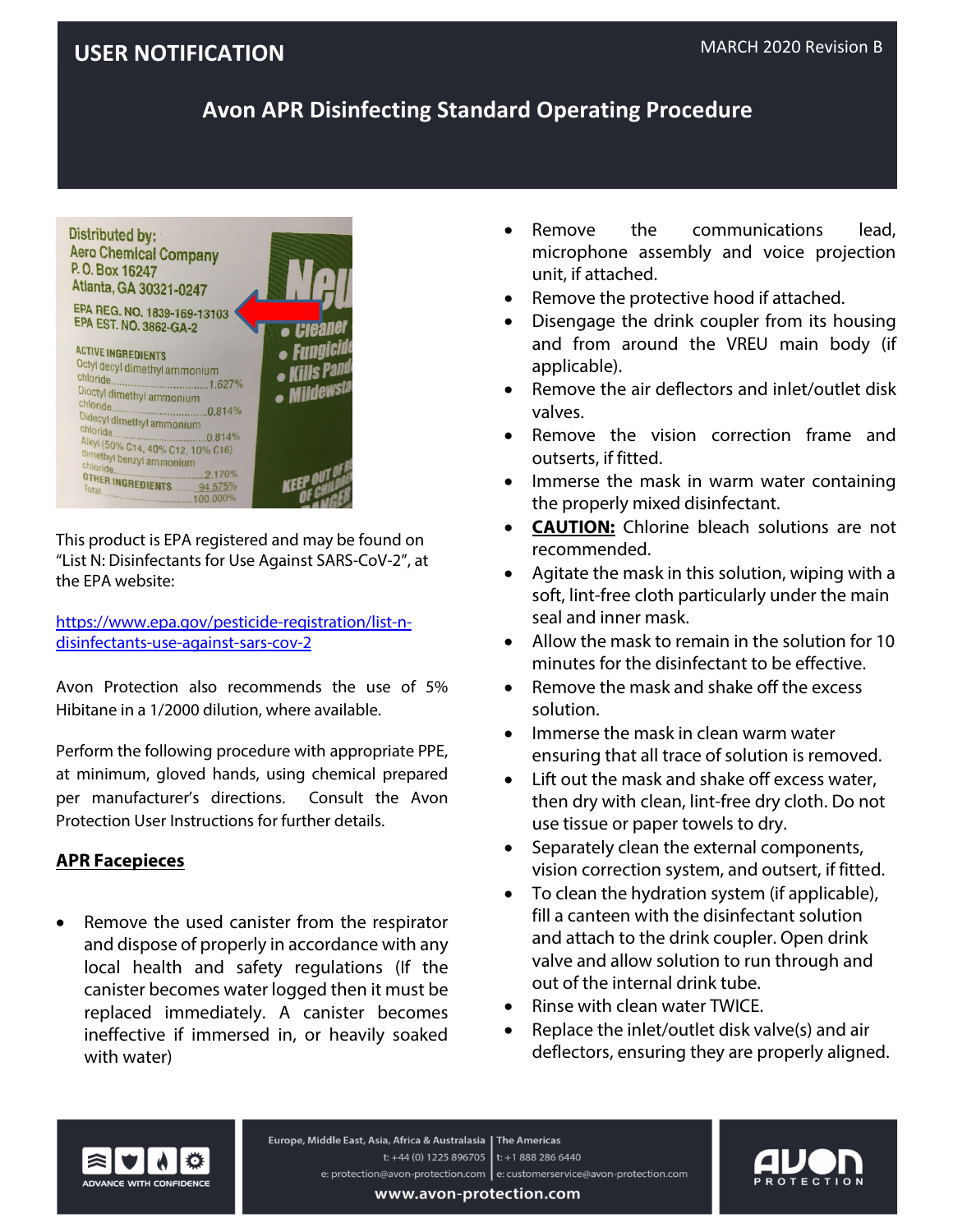### **USER NOTIFICATION** MARCH 2020 Revision B

# **Avon APR Disinfecting Standard Operating Procedure**



This product is EPA registered and may be found on "List N: Disinfectants for Use Against SARS-CoV-2", at the EPA website:

[https://www.epa.gov/pesticide-registration/list-n](https://www.epa.gov/pesticide-registration/list-n-disinfectants-use-against-sars-cov-2)[disinfectants-use-against-sars-cov-2](https://www.epa.gov/pesticide-registration/list-n-disinfectants-use-against-sars-cov-2)

Avon Protection also recommends the use of 5% Hibitane in a 1/2000 dilution, where available.

Perform the following procedure with appropriate PPE, at minimum, gloved hands, using chemical prepared per manufacturer's directions. Consult the Avon Protection User Instructions for further details.

#### **APR Facepieces**

• Remove the used canister from the respirator and dispose of properly in accordance with any local health and safety regulations (If the canister becomes water logged then it must be replaced immediately. A canister becomes ineffective if immersed in, or heavily soaked with water)

- Remove the communications lead, microphone assembly and voice projection unit, if attached.
- Remove the protective hood if attached.
- Disengage the drink coupler from its housing and from around the VREU main body (if applicable).
- Remove the air deflectors and inlet/outlet disk valves.
- Remove the vision correction frame and outserts, if fitted.
- Immerse the mask in warm water containing the properly mixed disinfectant.
- **CAUTION:** Chlorine bleach solutions are not recommended.
- Agitate the mask in this solution, wiping with a soft, lint-free cloth particularly under the main seal and inner mask.
- Allow the mask to remain in the solution for 10 minutes for the disinfectant to be effective.
- Remove the mask and shake off the excess solution.
- Immerse the mask in clean warm water ensuring that all trace of solution is removed.
- Lift out the mask and shake off excess water, then dry with clean, lint-free dry cloth. Do not use tissue or paper towels to dry.
- Separately clean the external components, vision correction system, and outsert, if fitted.
- To clean the hydration system (if applicable), fill a canteen with the disinfectant solution and attach to the drink coupler. Open drink valve and allow solution to run through and out of the internal drink tube.
- Rinse with clean water TWICE.
- Replace the inlet/outlet disk valve(s) and air deflectors, ensuring they are properly aligned.



Europe, Middle East, Asia, Africa & Australasia | The Americas t: +44 (0) 1225 896705 | t: +1 888 286 6440 e: protection@avon-protection.com | e: customerservice@avon-protection.com



www.avon-protection.com